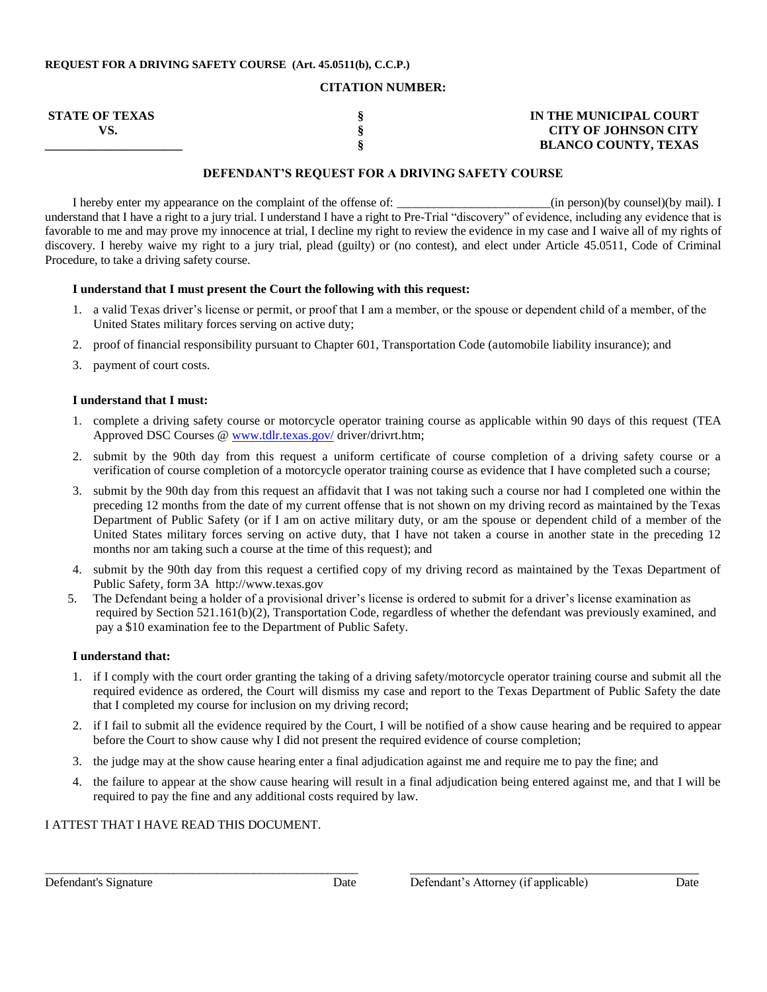#### **REQUEST FOR A DRIVING SAFETY COURSE (Art. 45.0511(b), C.C.P.)**

#### **CITATION NUMBER:**

| <b>STATE OF TEXAS</b> | IN THE MUNICIPAL COURT      |
|-----------------------|-----------------------------|
|                       | <b>CITY OF JOHNSON CITY</b> |
|                       | <b>BLANCO COUNTY, TEXAS</b> |

## **DEFENDANT'S REQUEST FOR A DRIVING SAFETY COURSE**

I hereby enter my appearance on the complaint of the offense of:  $\frac{1}{2}$  (in person)(by counsel)(by mail). I understand that I have a right to a jury trial. I understand I have a right to Pre-Trial "discovery" of evidence, including any evidence that is favorable to me and may prove my innocence at trial, I decline my right to review the evidence in my case and I waive all of my rights of discovery. I hereby waive my right to a jury trial, plead (guilty) or (no contest), and elect under Article 45.0511, Code of Criminal Procedure, to take a driving safety course.

#### **I understand that I must present the Court the following with this request:**

- 1. a valid Texas driver's license or permit, or proof that I am a member, or the spouse or dependent child of a member, of the United States military forces serving on active duty;
- 2. proof of financial responsibility pursuant to Chapter 601, Transportation Code (automobile liability insurance); and
- 3. payment of court costs.

## **I understand that I must:**

- 1. complete a driving safety course or motorcycle operator training course as applicable within 90 days of this request (TEA Approved DSC Courses @ [www.tdlr.texas.gov/](http://www.tdlr.texas.gov/) driver/drivrt.htm;
- 2. submit by the 90th day from this request a uniform certificate of course completion of a driving safety course or a verification of course completion of a motorcycle operator training course as evidence that I have completed such a course;
- 3. submit by the 90th day from this request an affidavit that I was not taking such a course nor had I completed one within the preceding 12 months from the date of my current offense that is not shown on my driving record as maintained by the Texas Department of Public Safety (or if I am on active military duty, or am the spouse or dependent child of a member of the United States military forces serving on active duty, that I have not taken a course in another state in the preceding 12 months nor am taking such a course at the time of this request); and
- 4. submit by the 90th day from this request a certified copy of my driving record as maintained by the Texas Department of Public Safety, form 3A http://www.texas.gov
- 5. The Defendant being a holder of a provisional driver's license is ordered to submit for a driver's license examination as required by Section 521.161(b)(2), Transportation Code, regardless of whether the defendant was previously examined, and pay a \$10 examination fee to the Department of Public Safety.

## **I understand that:**

- 1. if I comply with the court order granting the taking of a driving safety/motorcycle operator training course and submit all the required evidence as ordered, the Court will dismiss my case and report to the Texas Department of Public Safety the date that I completed my course for inclusion on my driving record;
- 2. if I fail to submit all the evidence required by the Court, I will be notified of a show cause hearing and be required to appear before the Court to show cause why I did not present the required evidence of course completion;
- 3. the judge may at the show cause hearing enter a final adjudication against me and require me to pay the fine; and
- 4. the failure to appear at the show cause hearing will result in a final adjudication being entered against me, and that I will be required to pay the fine and any additional costs required by law.

# I ATTEST THAT I HAVE READ THIS DOCUMENT.

\_\_\_\_\_\_\_\_\_\_\_\_\_\_\_\_\_\_\_\_\_\_\_\_\_\_\_\_\_\_\_\_\_\_\_\_\_\_\_\_\_\_\_\_\_\_\_\_\_\_\_